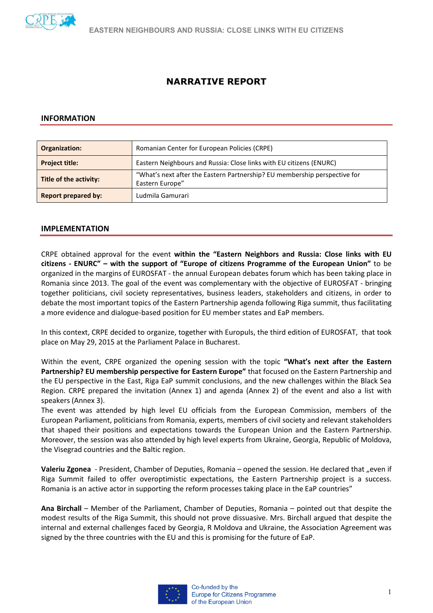

# **NARRATIVE REPORT**

#### **INFORMATION**

| Organization:              | Romanian Center for European Policies (CRPE)                                                 |  |  |  |
|----------------------------|----------------------------------------------------------------------------------------------|--|--|--|
| <b>Project title:</b>      | Eastern Neighbours and Russia: Close links with EU citizens (ENURC)                          |  |  |  |
| Title of the activity:     | "What's next after the Eastern Partnership? EU membership perspective for<br>Eastern Europe" |  |  |  |
| <b>Report prepared by:</b> | Ludmila Gamurari                                                                             |  |  |  |

#### **IMPLEMENTATION**

CRPE obtained approval for the event **within the "Eastern Neighbors and Russia: Close links with EU citizens - ENURC" – with the support of "Europe of citizens Programme of the European Union"** to be organized in the margins of EUROSFAT - the annual European debates forum which has been taking place in Romania since 2013. The goal of the event was complementary with the objective of EUROSFAT - bringing together politicians, civil society representatives, business leaders, stakeholders and citizens, in order to debate the most important topics of the Eastern Partnership agenda following Riga summit, thus facilitating a more evidence and dialogue-based position for EU member states and EaP members.

In this context, CRPE decided to organize, together with Europuls, the third edition of EUROSFAT, that took place on May 29, 2015 at the Parliament Palace in Bucharest.

Within the event, CRPE organized the opening session with the topic **"What's next after the Eastern Partnership? EU membership perspective for Eastern Europe"** that focused on the Eastern Partnership and the EU perspective in the East, Riga EaP summit conclusions, and the new challenges within the Black Sea Region. CRPE prepared the invitation (Annex 1) and agenda (Annex 2) of the event and also a list with speakers (Annex 3).

The event was attended by high level EU officials from the European Commission, members of the European Parliament, politicians from Romania, experts, members of civil society and relevant stakeholders that shaped their positions and expectations towards the European Union and the Eastern Partnership. Moreover, the session was also attended by high level experts from Ukraine, Georgia, Republic of Moldova, the Visegrad countries and the Baltic region.

**Valeriu Zgonea** - President, Chamber of Deputies, Romania – opened the session. He declared that "even if Riga Summit failed to offer overoptimistic expectations, the Eastern Partnership project is a success. Romania is an active actor in supporting the reform processes taking place in the EaP countries"

**Ana Birchall** – Member of the Parliament, Chamber of Deputies, Romania – pointed out that despite the modest results of the Riga Summit, this should not prove dissuasive. Mrs. Birchall argued that despite the internal and external challenges faced by Georgia, R Moldova and Ukraine, the Association Agreement was signed by the three countries with the EU and this is promising for the future of EaP.

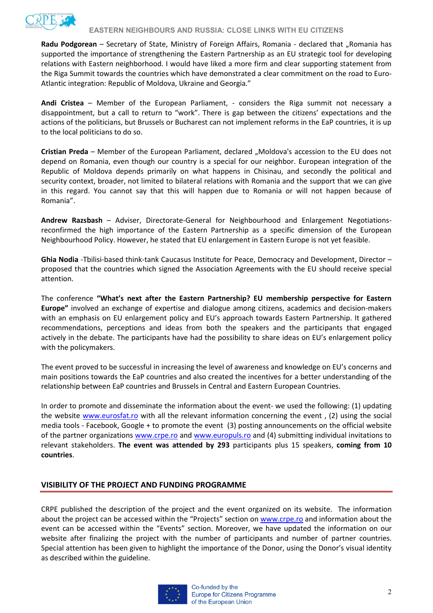

**Radu Podgorean** – Secretary of State, Ministry of Foreign Affairs, Romania - declared that "Romania has supported the importance of strengthening the Eastern Partnership as an EU strategic tool for developing relations with Eastern neighborhood. I would have liked a more firm and clear supporting statement from the Riga Summit towards the countries which have demonstrated a clear commitment on the road to Euro-Atlantic integration: Republic of Moldova, Ukraine and Georgia."

**Andi Cristea** – Member of the European Parliament, - considers the Riga summit not necessary a disappointment, but a call to return to "work". There is gap between the citizens' expectations and the actions of the politicians, but Brussels or Bucharest can not implement reforms in the EaP countries, it is up to the local politicians to do so.

**Cristian Preda** – Member of the European Parliament, declared "Moldova's accession to the EU does not depend on Romania, even though our country is a special for our neighbor. European integration of the Republic of Moldova depends primarily on what happens in Chisinau, and secondly the political and security context, broader, not limited to bilateral relations with Romania and the support that we can give in this regard. You cannot say that this will happen due to Romania or will not happen because of Romania".

**Andrew Razsbash** – Adviser, Directorate-General for Neighbourhood and Enlargement Negotiationsreconfirmed the high importance of the Eastern Partnership as a specific dimension of the European Neighbourhood Policy. However, he stated that EU enlargement in Eastern Europe is not yet feasible.

**Ghia Nodia** -Tbilisi-based think-tank Caucasus Institute for Peace, Democracy and Development, Director – proposed that the countries which signed the Association Agreements with the EU should receive special attention.

The conference **"What's next after the Eastern Partnership? EU membership perspective for Eastern Europe"** involved an exchange of expertise and dialogue among citizens, academics and decision-makers with an emphasis on EU enlargement policy and EU's approach towards Eastern Partnership. It gathered recommendations, perceptions and ideas from both the speakers and the participants that engaged actively in the debate. The participants have had the possibility to share ideas on EU's enlargement policy with the policymakers.

The event proved to be successful in increasing the level of awareness and knowledge on EU's concerns and main positions towards the EaP countries and also created the incentives for a better understanding of the relationship between EaP countries and Brussels in Central and Eastern European Countries.

In order to promote and disseminate the information about the event- we used the following: (1) updating the website [www.eurosfat.ro](http://www.eurosfat.ro/) with all the relevant information concerning the event , (2) using the social media tools - Facebook, Google + to promote the event (3) posting announcements on the official website of the partner organizations [www.crpe.ro](http://www.crpe.ro/) and [www.europuls.ro](http://www.europuls.ro/) and (4) submitting individual invitations to relevant stakeholders. **The event was attended by 293** participants plus 15 speakers, **coming from 10 countries**.

## **VISIBILITY OF THE PROJECT AND FUNDING PROGRAMME**

CRPE published the description of the project and the event organized on its website. The information about the project can be accessed within the "Projects" section on [www.crpe.ro](http://www.crpe.ro/) and information about the event can be accessed within the "Events" section. Moreover, we have updated the information on our website after finalizing the project with the number of participants and number of partner countries. Special attention has been given to highlight the importance of the Donor, using the Donor's visual identity as described within the guideline.

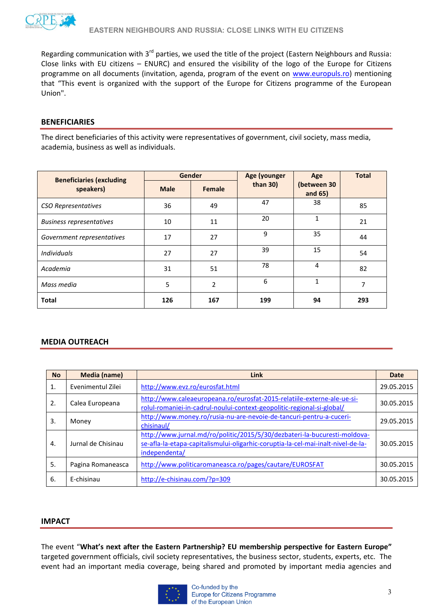

Regarding communication with 3<sup>rd</sup> parties, we used the title of the project (Eastern Neighbours and Russia: Close links with EU citizens – ENURC) and ensured the visibility of the logo of the Europe for Citizens programme on all documents (invitation, agenda, program of the event on [www.europuls.ro\)](http://www.europuls.ro/) mentioning that "This event is organized with the support of the Europe for Citizens programme of the European Union".

#### **BENEFICIARIES**

The direct beneficiaries of this activity were representatives of government, civil society, mass media, academia, business as well as individuals.

| <b>Beneficiaries (excluding</b> | <b>Gender</b> |                | Age (younger | Age                       | <b>Total</b> |
|---------------------------------|---------------|----------------|--------------|---------------------------|--------------|
| speakers)                       | <b>Male</b>   | Female         | than $30$ )  | (between 30<br>and $65$ ) |              |
| <b>CSO Representatives</b>      | 36            | 49             | 47           | 38                        | 85           |
| <b>Business representatives</b> | 10            | 11             | 20           | $\mathbf{1}$              | 21           |
| Government representatives      | 17            | 27             | 9            | 35                        | 44           |
| <b>Individuals</b>              | 27            | 27             | 39           | 15                        | 54           |
| Academia                        | 31            | 51             | 78           | 4                         | 82           |
| Mass media                      | 5             | $\overline{2}$ | 6            | $\mathbf{1}$              | 7            |
| <b>Total</b>                    | 126           | 167            | 199          | 94                        | 293          |

## **MEDIA OUTREACH**

| <b>No</b> | <b>Media (name)</b> | <b>Link</b>                                                                                                                                                                    | <b>Date</b> |
|-----------|---------------------|--------------------------------------------------------------------------------------------------------------------------------------------------------------------------------|-------------|
| 1.        | Evenimentul Zilei   | http://www.evz.ro/eurosfat.html                                                                                                                                                | 29.05.2015  |
| 2.        | Calea Europeana     | http://www.caleaeuropeana.ro/eurosfat-2015-relatiile-externe-ale-ue-si-<br>rolul-romaniei-in-cadrul-noului-context-geopolitic-regional-si-global/                              | 30.05.2015  |
| 3.        | Money               | http://www.money.ro/rusia-nu-are-nevoie-de-tancuri-pentru-a-cuceri-<br>chisinaul/                                                                                              | 29.05.2015  |
| 4.        | Jurnal de Chisinau  | http://www.jurnal.md/ro/politic/2015/5/30/dezbateri-la-bucuresti-moldova-<br>se-afla-la-etapa-capitalismului-oligarhic-coruptia-la-cel-mai-inalt-nivel-de-la-<br>independenta/ | 30.05.2015  |
| 5.        | Pagina Romaneasca   | http://www.politicaromaneasca.ro/pages/cautare/EUROSFAT                                                                                                                        | 30.05.2015  |
| 6.        | E-chisinau          | http://e-chisinau.com/?p=309                                                                                                                                                   | 30.05.2015  |

#### **IMPACT**

The event "**What's next after the Eastern Partnership? EU membership perspective for Eastern Europe"** targeted government officials, civil society representatives, the business sector, students, experts, etc. The event had an important media coverage, being shared and promoted by important media agencies and